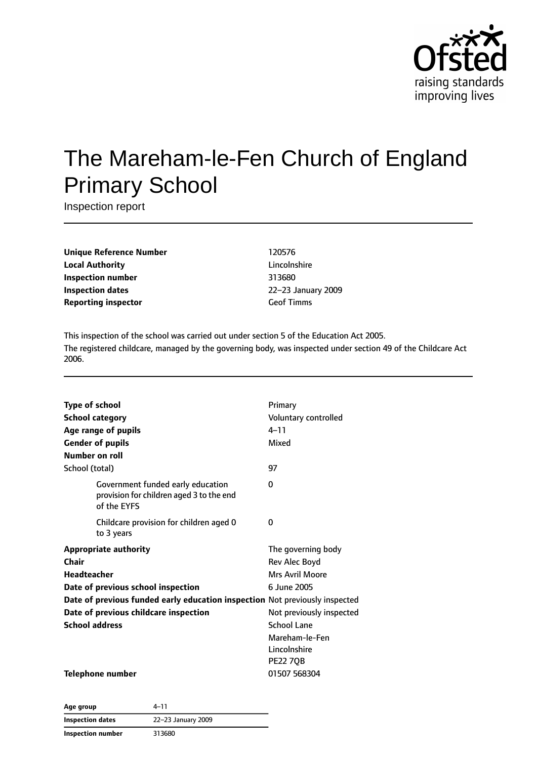

# The Mareham-le-Fen Church of England Primary School

Inspection report

**Unique Reference Number** 120576 **Local Authority** Lincolnshire **Inspection number** 313680 **Inspection dates** 22–23 January 2009 **Reporting inspector** Geof Timms

This inspection of the school was carried out under section 5 of the Education Act 2005. The registered childcare, managed by the governing body, was inspected under section 49 of the Childcare Act 2006.

| <b>Type of school</b><br><b>School category</b><br>Age range of pupils<br><b>Gender of pupils</b> | Primary<br>Voluntary controlled<br>$4 - 11$<br>Mixed |
|---------------------------------------------------------------------------------------------------|------------------------------------------------------|
| Number on roll                                                                                    |                                                      |
| School (total)                                                                                    | 97                                                   |
| Government funded early education<br>provision for children aged 3 to the end<br>of the EYFS      | 0                                                    |
| Childcare provision for children aged 0<br>to 3 years                                             | 0                                                    |
| <b>Appropriate authority</b>                                                                      | The governing body                                   |
| Chair                                                                                             | Rev Alec Boyd                                        |
| <b>Headteacher</b>                                                                                | Mrs Avril Moore                                      |
| Date of previous school inspection                                                                | 6 June 2005                                          |
| Date of previous funded early education inspection Not previously inspected                       |                                                      |
| Date of previous childcare inspection                                                             | Not previously inspected                             |
| <b>School address</b>                                                                             | <b>School Lane</b>                                   |
|                                                                                                   | Mareham-le-Fen                                       |
|                                                                                                   | Lincolnshire                                         |
|                                                                                                   | <b>PE22 70B</b>                                      |
| <b>Telephone number</b>                                                                           | 01507 568304                                         |

**Age group** 4–11 **Inspection dates** 22–23 January 2009 **Inspection number** 313680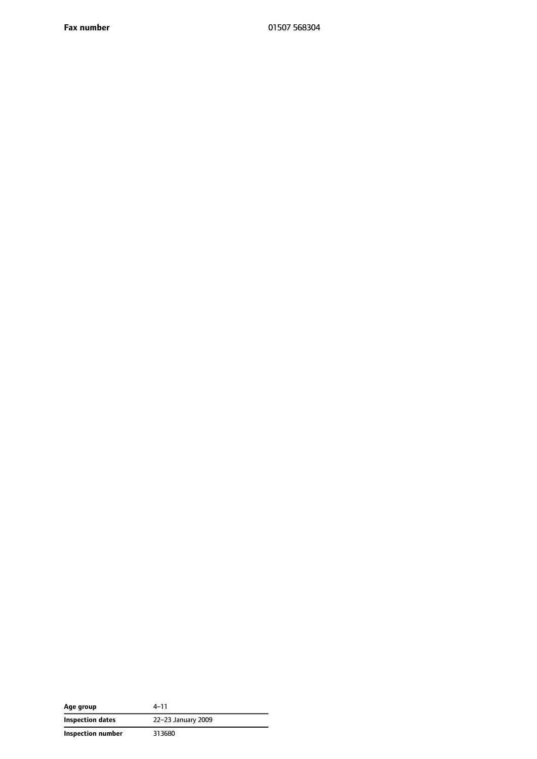**Fax number** 01507 568304

| Age group         | $4 - 11$           |
|-------------------|--------------------|
| Inspection dates  | 22-23 January 2009 |
| Inspection number | 313680             |

 $\overline{\phantom{a}}$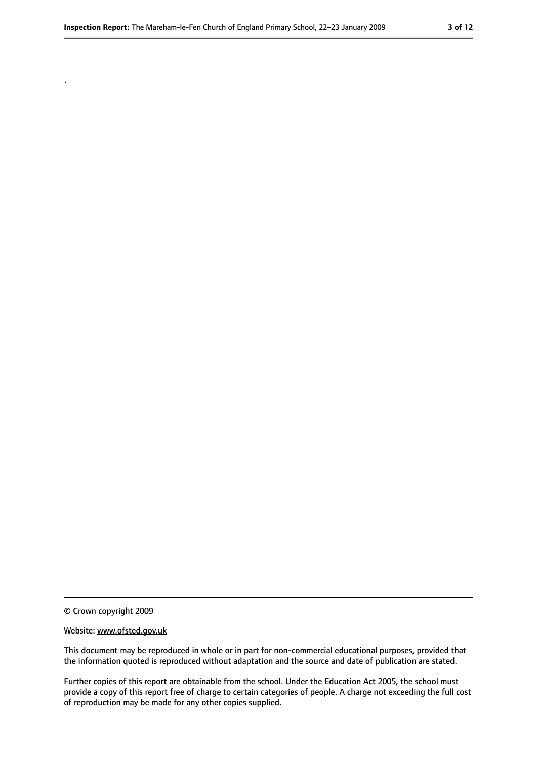© Crown copyright 2009

.

#### Website: www.ofsted.gov.uk

This document may be reproduced in whole or in part for non-commercial educational purposes, provided that the information quoted is reproduced without adaptation and the source and date of publication are stated.

Further copies of this report are obtainable from the school. Under the Education Act 2005, the school must provide a copy of this report free of charge to certain categories of people. A charge not exceeding the full cost of reproduction may be made for any other copies supplied.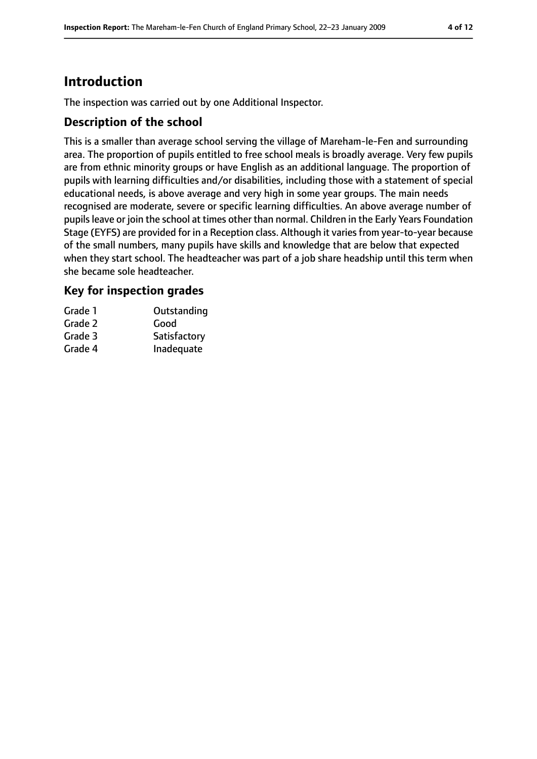# **Introduction**

The inspection was carried out by one Additional Inspector.

### **Description of the school**

This is a smaller than average school serving the village of Mareham-le-Fen and surrounding area. The proportion of pupils entitled to free school meals is broadly average. Very few pupils are from ethnic minority groups or have English as an additional language. The proportion of pupils with learning difficulties and/or disabilities, including those with a statement of special educational needs, is above average and very high in some year groups. The main needs recognised are moderate, severe or specific learning difficulties. An above average number of pupilsleave or join the school at times other than normal. Children in the Early Years Foundation Stage (EYFS) are provided for in a Reception class. Although it varies from year-to-year because of the small numbers, many pupils have skills and knowledge that are below that expected when they start school. The headteacher was part of a job share headship until this term when she became sole headteacher.

### **Key for inspection grades**

| Grade 1 | Outstanding  |
|---------|--------------|
| Grade 2 | Good         |
| Grade 3 | Satisfactory |
| Grade 4 | Inadequate   |
|         |              |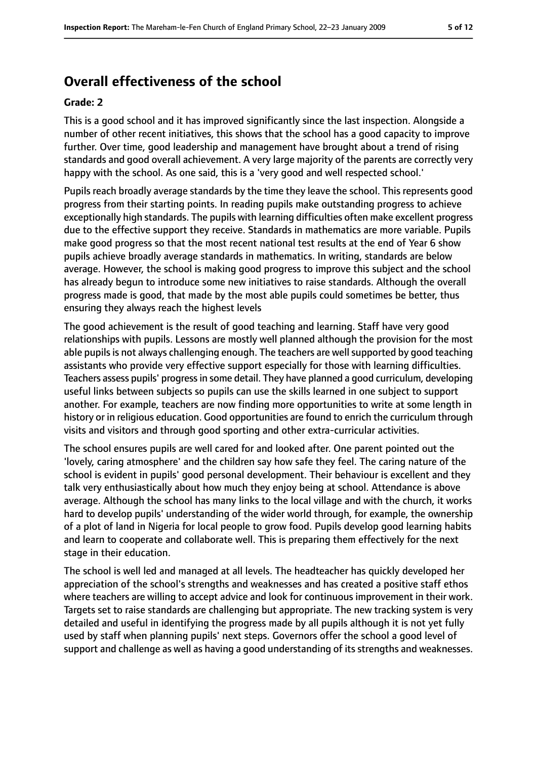# **Overall effectiveness of the school**

#### **Grade: 2**

This is a good school and it has improved significantly since the last inspection. Alongside a number of other recent initiatives, this shows that the school has a good capacity to improve further. Over time, good leadership and management have brought about a trend of rising standards and good overall achievement. A very large majority of the parents are correctly very happy with the school. As one said, this is a 'very good and well respected school.'

Pupils reach broadly average standards by the time they leave the school. This represents good progress from their starting points. In reading pupils make outstanding progress to achieve exceptionally high standards. The pupils with learning difficulties often make excellent progress due to the effective support they receive. Standards in mathematics are more variable. Pupils make good progress so that the most recent national test results at the end of Year 6 show pupils achieve broadly average standards in mathematics. In writing, standards are below average. However, the school is making good progress to improve this subject and the school has already begun to introduce some new initiatives to raise standards. Although the overall progress made is good, that made by the most able pupils could sometimes be better, thus ensuring they always reach the highest levels

The good achievement is the result of good teaching and learning. Staff have very good relationships with pupils. Lessons are mostly well planned although the provision for the most able pupils is not always challenging enough. The teachers are well supported by good teaching assistants who provide very effective support especially for those with learning difficulties. Teachers assess pupils' progressin some detail. They have planned a good curriculum, developing useful links between subjects so pupils can use the skills learned in one subject to support another. For example, teachers are now finding more opportunities to write at some length in history or in religious education. Good opportunities are found to enrich the curriculum through visits and visitors and through good sporting and other extra-curricular activities.

The school ensures pupils are well cared for and looked after. One parent pointed out the 'lovely, caring atmosphere' and the children say how safe they feel. The caring nature of the school is evident in pupils' good personal development. Their behaviour is excellent and they talk very enthusiastically about how much they enjoy being at school. Attendance is above average. Although the school has many links to the local village and with the church, it works hard to develop pupils' understanding of the wider world through, for example, the ownership of a plot of land in Nigeria for local people to grow food. Pupils develop good learning habits and learn to cooperate and collaborate well. This is preparing them effectively for the next stage in their education.

The school is well led and managed at all levels. The headteacher has quickly developed her appreciation of the school's strengths and weaknesses and has created a positive staff ethos where teachers are willing to accept advice and look for continuous improvement in their work. Targets set to raise standards are challenging but appropriate. The new tracking system is very detailed and useful in identifying the progress made by all pupils although it is not yet fully used by staff when planning pupils' next steps. Governors offer the school a good level of support and challenge as well as having a good understanding of its strengths and weaknesses.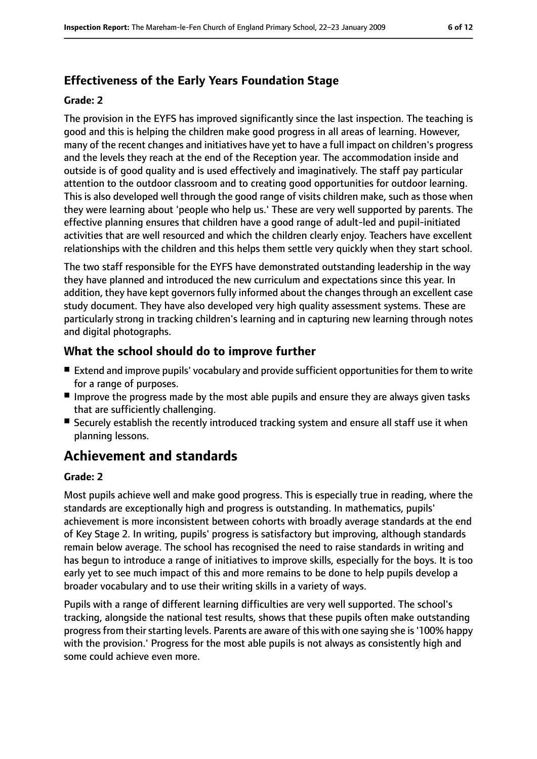# **Effectiveness of the Early Years Foundation Stage**

#### **Grade: 2**

The provision in the EYFS has improved significantly since the last inspection. The teaching is good and this is helping the children make good progress in all areas of learning. However, many of the recent changes and initiatives have yet to have a full impact on children's progress and the levels they reach at the end of the Reception year. The accommodation inside and outside is of good quality and is used effectively and imaginatively. The staff pay particular attention to the outdoor classroom and to creating good opportunities for outdoor learning. This is also developed well through the good range of visits children make, such as those when they were learning about 'people who help us.' These are very well supported by parents. The effective planning ensures that children have a good range of adult-led and pupil-initiated activities that are well resourced and which the children clearly enjoy. Teachers have excellent relationships with the children and this helps them settle very quickly when they start school.

The two staff responsible for the EYFS have demonstrated outstanding leadership in the way they have planned and introduced the new curriculum and expectations since this year. In addition, they have kept governors fully informed about the changes through an excellent case study document. They have also developed very high quality assessment systems. These are particularly strong in tracking children's learning and in capturing new learning through notes and digital photographs.

## **What the school should do to improve further**

- Extend and improve pupils' vocabulary and provide sufficient opportunities for them to write for a range of purposes.
- Improve the progress made by the most able pupils and ensure they are always given tasks that are sufficiently challenging.
- Securely establish the recently introduced tracking system and ensure all staff use it when planning lessons.

# **Achievement and standards**

#### **Grade: 2**

Most pupils achieve well and make good progress. This is especially true in reading, where the standards are exceptionally high and progress is outstanding. In mathematics, pupils' achievement is more inconsistent between cohorts with broadly average standards at the end of Key Stage 2. In writing, pupils' progress is satisfactory but improving, although standards remain below average. The school has recognised the need to raise standards in writing and has begun to introduce a range of initiatives to improve skills, especially for the boys. It is too early yet to see much impact of this and more remains to be done to help pupils develop a broader vocabulary and to use their writing skills in a variety of ways.

Pupils with a range of different learning difficulties are very well supported. The school's tracking, alongside the national test results, shows that these pupils often make outstanding progress from their starting levels. Parents are aware of this with one saying she is '100% happy with the provision.' Progress for the most able pupils is not always as consistently high and some could achieve even more.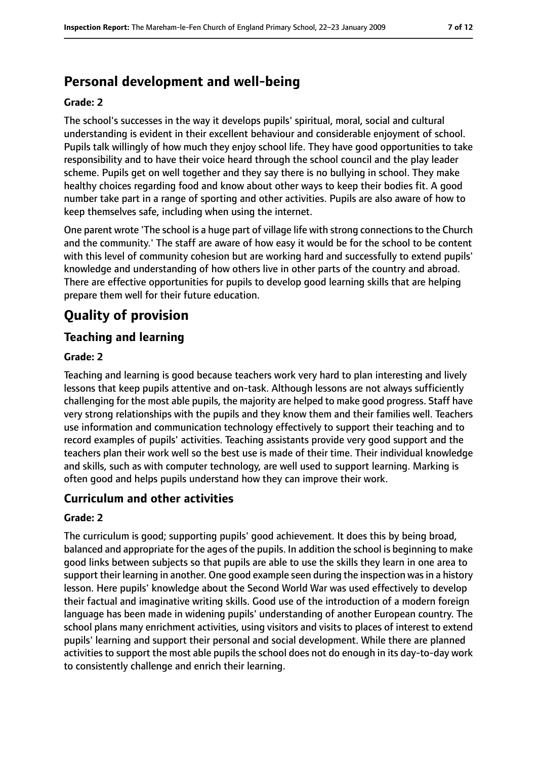# **Personal development and well-being**

#### **Grade: 2**

The school's successes in the way it develops pupils' spiritual, moral, social and cultural understanding is evident in their excellent behaviour and considerable enjoyment of school. Pupils talk willingly of how much they enjoy school life. They have good opportunities to take responsibility and to have their voice heard through the school council and the play leader scheme. Pupils get on well together and they say there is no bullying in school. They make healthy choices regarding food and know about other ways to keep their bodies fit. A good number take part in a range of sporting and other activities. Pupils are also aware of how to keep themselves safe, including when using the internet.

One parent wrote 'The school is a huge part of village life with strong connections to the Church and the community.' The staff are aware of how easy it would be for the school to be content with this level of community cohesion but are working hard and successfully to extend pupils' knowledge and understanding of how others live in other parts of the country and abroad. There are effective opportunities for pupils to develop good learning skills that are helping prepare them well for their future education.

# **Quality of provision**

### **Teaching and learning**

#### **Grade: 2**

Teaching and learning is good because teachers work very hard to plan interesting and lively lessons that keep pupils attentive and on-task. Although lessons are not always sufficiently challenging for the most able pupils, the majority are helped to make good progress. Staff have very strong relationships with the pupils and they know them and their families well. Teachers use information and communication technology effectively to support their teaching and to record examples of pupils' activities. Teaching assistants provide very good support and the teachers plan their work well so the best use is made of their time. Their individual knowledge and skills, such as with computer technology, are well used to support learning. Marking is often good and helps pupils understand how they can improve their work.

### **Curriculum and other activities**

#### **Grade: 2**

The curriculum is good; supporting pupils' good achievement. It does this by being broad, balanced and appropriate for the ages of the pupils. In addition the school is beginning to make good links between subjects so that pupils are able to use the skills they learn in one area to support their learning in another. One good example seen during the inspection was in a history lesson. Here pupils' knowledge about the Second World War was used effectively to develop their factual and imaginative writing skills. Good use of the introduction of a modern foreign language has been made in widening pupils' understanding of another European country. The school plans many enrichment activities, using visitors and visits to places of interest to extend pupils' learning and support their personal and social development. While there are planned activities to support the most able pupils the school does not do enough in its day-to-day work to consistently challenge and enrich their learning.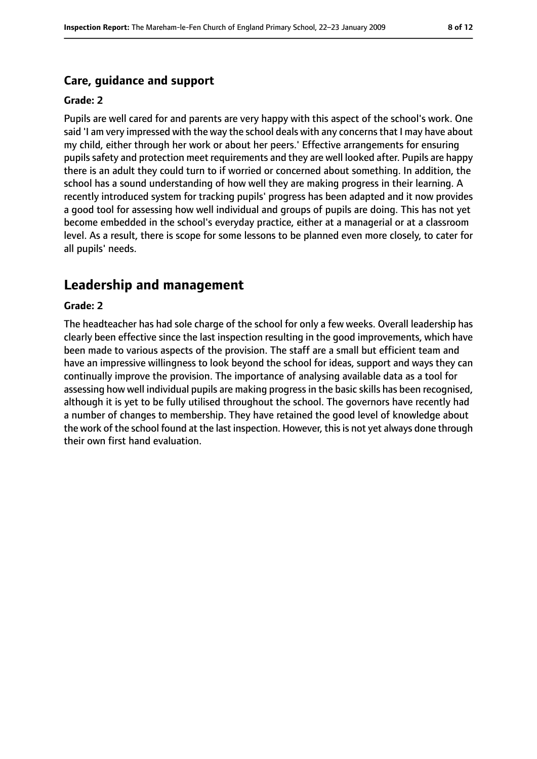#### **Care, guidance and support**

#### **Grade: 2**

Pupils are well cared for and parents are very happy with this aspect of the school's work. One said 'I am very impressed with the way the school deals with any concerns that I may have about my child, either through her work or about her peers.' Effective arrangements for ensuring pupils safety and protection meet requirements and they are well looked after. Pupils are happy there is an adult they could turn to if worried or concerned about something. In addition, the school has a sound understanding of how well they are making progress in their learning. A recently introduced system for tracking pupils' progress has been adapted and it now provides a good tool for assessing how well individual and groups of pupils are doing. This has not yet become embedded in the school's everyday practice, either at a managerial or at a classroom level. As a result, there is scope for some lessons to be planned even more closely, to cater for all pupils' needs.

# **Leadership and management**

#### **Grade: 2**

The headteacher has had sole charge of the school for only a few weeks. Overall leadership has clearly been effective since the last inspection resulting in the good improvements, which have been made to various aspects of the provision. The staff are a small but efficient team and have an impressive willingness to look beyond the school for ideas, support and ways they can continually improve the provision. The importance of analysing available data as a tool for assessing how well individual pupils are making progressin the basic skills has been recognised, although it is yet to be fully utilised throughout the school. The governors have recently had a number of changes to membership. They have retained the good level of knowledge about the work of the school found at the last inspection. However, this is not yet always done through their own first hand evaluation.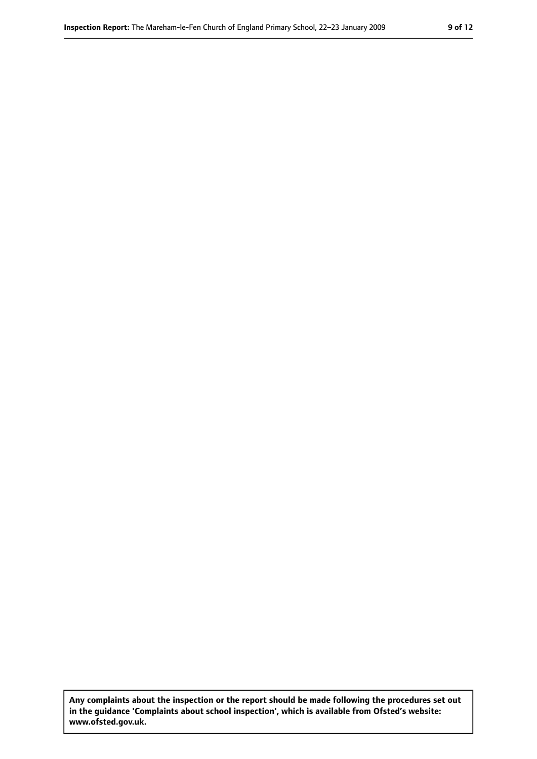**Any complaints about the inspection or the report should be made following the procedures set out in the guidance 'Complaints about school inspection', which is available from Ofsted's website: www.ofsted.gov.uk.**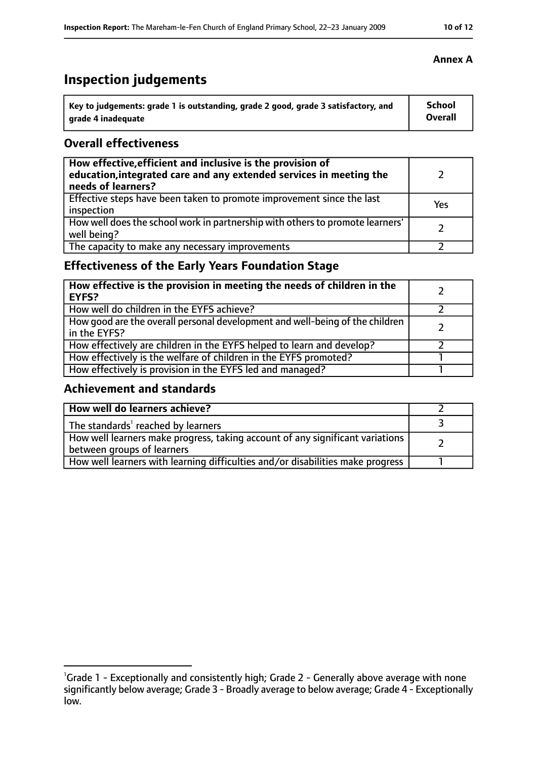# **Inspection judgements**

| $^{\cdot}$ Key to judgements: grade 1 is outstanding, grade 2 good, grade 3 satisfactory, and | <b>School</b> |
|-----------------------------------------------------------------------------------------------|---------------|
| arade 4 inadequate                                                                            | Overall       |

### **Overall effectiveness**

| How effective, efficient and inclusive is the provision of<br>education, integrated care and any extended services in meeting the<br>needs of learners? |     |
|---------------------------------------------------------------------------------------------------------------------------------------------------------|-----|
| Effective steps have been taken to promote improvement since the last<br>inspection                                                                     | Yes |
| How well does the school work in partnership with others to promote learners'<br>well being?                                                            |     |
| The capacity to make any necessary improvements                                                                                                         |     |

# **Effectiveness of the Early Years Foundation Stage**

| How effective is the provision in meeting the needs of children in the<br><b>EYFS?</b>       |  |
|----------------------------------------------------------------------------------------------|--|
| How well do children in the EYFS achieve?                                                    |  |
| How good are the overall personal development and well-being of the children<br>in the EYFS? |  |
| How effectively are children in the EYFS helped to learn and develop?                        |  |
| How effectively is the welfare of children in the EYFS promoted?                             |  |
| How effectively is provision in the EYFS led and managed?                                    |  |

## **Achievement and standards**

| How well do learners achieve?                                                                               |  |
|-------------------------------------------------------------------------------------------------------------|--|
| The standards <sup>1</sup> reached by learners                                                              |  |
| How well learners make progress, taking account of any significant variations<br>between groups of learners |  |
| How well learners with learning difficulties and/or disabilities make progress                              |  |

### **Annex A**

<sup>&</sup>lt;sup>1</sup>Grade 1 - Exceptionally and consistently high; Grade 2 - Generally above average with none significantly below average; Grade 3 - Broadly average to below average; Grade 4 - Exceptionally low.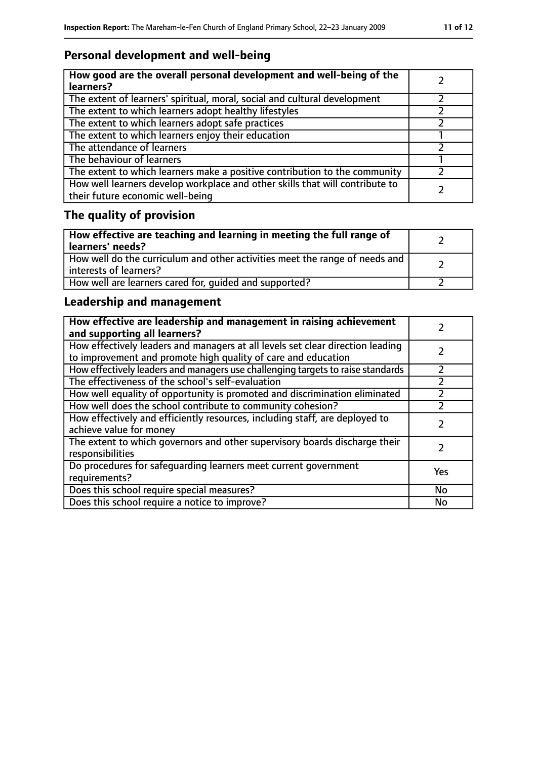# **Personal development and well-being**

| How good are the overall personal development and well-being of the<br>learners?                                 |  |
|------------------------------------------------------------------------------------------------------------------|--|
| The extent of learners' spiritual, moral, social and cultural development                                        |  |
| The extent to which learners adopt healthy lifestyles                                                            |  |
| The extent to which learners adopt safe practices                                                                |  |
| The extent to which learners enjoy their education                                                               |  |
| The attendance of learners                                                                                       |  |
| The behaviour of learners                                                                                        |  |
| The extent to which learners make a positive contribution to the community                                       |  |
| How well learners develop workplace and other skills that will contribute to<br>their future economic well-being |  |

# **The quality of provision**

| How effective are teaching and learning in meeting the full range of<br>learners' needs?              |  |
|-------------------------------------------------------------------------------------------------------|--|
| How well do the curriculum and other activities meet the range of needs and<br>interests of learners? |  |
| How well are learners cared for, quided and supported?                                                |  |

# **Leadership and management**

| How effective are leadership and management in raising achievement<br>and supporting all learners?                                              |     |
|-------------------------------------------------------------------------------------------------------------------------------------------------|-----|
| How effectively leaders and managers at all levels set clear direction leading<br>to improvement and promote high quality of care and education |     |
| How effectively leaders and managers use challenging targets to raise standards                                                                 |     |
| The effectiveness of the school's self-evaluation                                                                                               |     |
| How well equality of opportunity is promoted and discrimination eliminated                                                                      |     |
| How well does the school contribute to community cohesion?                                                                                      |     |
| How effectively and efficiently resources, including staff, are deployed to<br>achieve value for money                                          |     |
| The extent to which governors and other supervisory boards discharge their<br>responsibilities                                                  |     |
| Do procedures for safequarding learners meet current government<br>requirements?                                                                | Yes |
| Does this school require special measures?                                                                                                      | No  |
| Does this school require a notice to improve?                                                                                                   | No  |